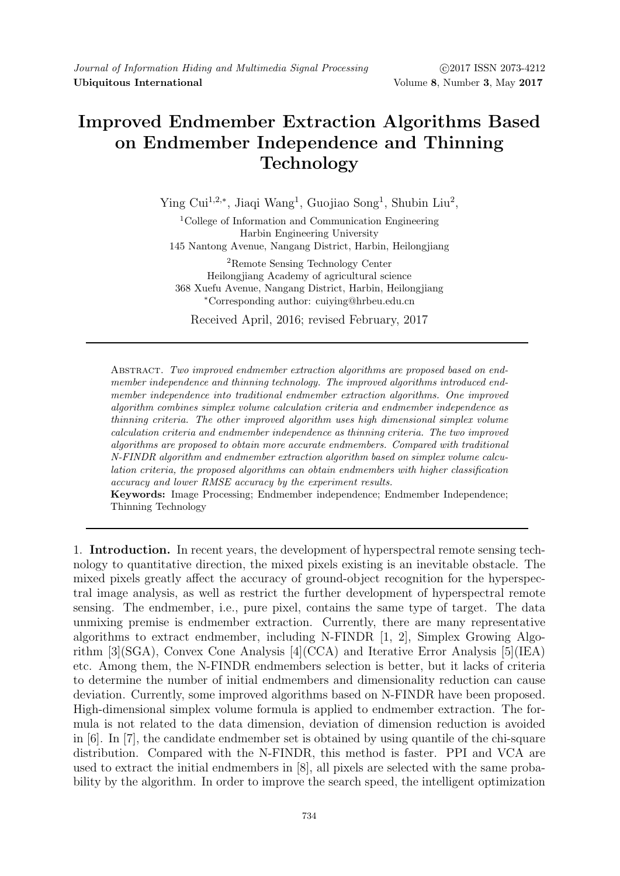## Improved Endmember Extraction Algorithms Based on Endmember Independence and Thinning Technology

Ying Cui<sup>1,2,∗</sup>, Jiaqi Wang<sup>1</sup>, Guojiao Song<sup>1</sup>, Shubin Liu<sup>2</sup>,

<sup>1</sup>College of Information and Communication Engineering Harbin Engineering University 145 Nantong Avenue, Nangang District, Harbin, Heilongjiang

<sup>2</sup>Remote Sensing Technology Center Heilongjiang Academy of agricultural science 368 Xuefu Avenue, Nangang District, Harbin, Heilongjiang <sup>∗</sup>Corresponding author: cuiying@hrbeu.edu.cn

Received April, 2016; revised February, 2017

Abstract. Two improved endmember extraction algorithms are proposed based on endmember independence and thinning technology. The improved algorithms introduced endmember independence into traditional endmember extraction algorithms. One improved algorithm combines simplex volume calculation criteria and endmember independence as thinning criteria. The other improved algorithm uses high dimensional simplex volume calculation criteria and endmember independence as thinning criteria. The two improved algorithms are proposed to obtain more accurate endmembers. Compared with traditional N-FINDR algorithm and endmember extraction algorithm based on simplex volume calculation criteria, the proposed algorithms can obtain endmembers with higher classification accuracy and lower RMSE accuracy by the experiment results.

Keywords: Image Processing; Endmember independence; Endmember Independence; Thinning Technology

1. Introduction. In recent years, the development of hyperspectral remote sensing technology to quantitative direction, the mixed pixels existing is an inevitable obstacle. The mixed pixels greatly affect the accuracy of ground-object recognition for the hyperspectral image analysis, as well as restrict the further development of hyperspectral remote sensing. The endmember, i.e., pure pixel, contains the same type of target. The data unmixing premise is endmember extraction. Currently, there are many representative algorithms to extract endmember, including N-FINDR [1, 2], Simplex Growing Algorithm [3](SGA), Convex Cone Analysis [4](CCA) and Iterative Error Analysis [5](IEA) etc. Among them, the N-FINDR endmembers selection is better, but it lacks of criteria to determine the number of initial endmembers and dimensionality reduction can cause deviation. Currently, some improved algorithms based on N-FINDR have been proposed. High-dimensional simplex volume formula is applied to endmember extraction. The formula is not related to the data dimension, deviation of dimension reduction is avoided in [6]. In [7], the candidate endmember set is obtained by using quantile of the chi-square distribution. Compared with the N-FINDR, this method is faster. PPI and VCA are used to extract the initial endmembers in [8], all pixels are selected with the same probability by the algorithm. In order to improve the search speed, the intelligent optimization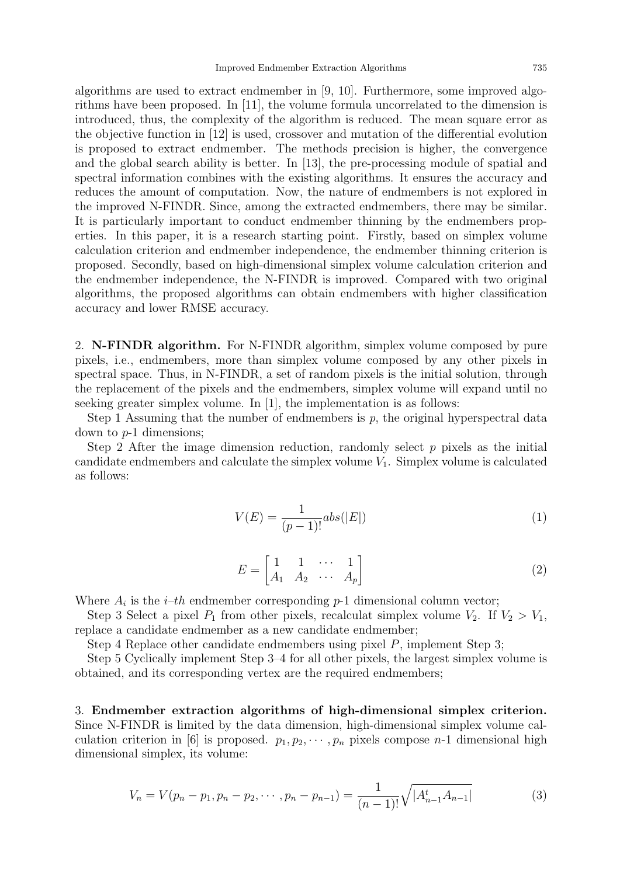algorithms are used to extract endmember in [9, 10]. Furthermore, some improved algorithms have been proposed. In [11], the volume formula uncorrelated to the dimension is introduced, thus, the complexity of the algorithm is reduced. The mean square error as the objective function in [12] is used, crossover and mutation of the differential evolution is proposed to extract endmember. The methods precision is higher, the convergence and the global search ability is better. In [13], the pre-processing module of spatial and spectral information combines with the existing algorithms. It ensures the accuracy and reduces the amount of computation. Now, the nature of endmembers is not explored in the improved N-FINDR. Since, among the extracted endmembers, there may be similar. It is particularly important to conduct endmember thinning by the endmembers properties. In this paper, it is a research starting point. Firstly, based on simplex volume calculation criterion and endmember independence, the endmember thinning criterion is proposed. Secondly, based on high-dimensional simplex volume calculation criterion and the endmember independence, the N-FINDR is improved. Compared with two original algorithms, the proposed algorithms can obtain endmembers with higher classification accuracy and lower RMSE accuracy.

2. N-FINDR algorithm. For N-FINDR algorithm, simplex volume composed by pure pixels, i.e., endmembers, more than simplex volume composed by any other pixels in spectral space. Thus, in N-FINDR, a set of random pixels is the initial solution, through the replacement of the pixels and the endmembers, simplex volume will expand until no seeking greater simplex volume. In [1], the implementation is as follows:

Step 1 Assuming that the number of endmembers is  $p$ , the original hyperspectral data down to p-1 dimensions;

Step 2 After the image dimension reduction, randomly select  $p$  pixels as the initial candidate endmembers and calculate the simplex volume  $V_1$ . Simplex volume is calculated as follows:

$$
V(E) = \frac{1}{(p-1)!} abs(|E|)
$$
 (1)

$$
E = \begin{bmatrix} 1 & 1 & \cdots & 1 \\ A_1 & A_2 & \cdots & A_p \end{bmatrix} \tag{2}
$$

Where  $A_i$  is the *i*-th endmember corresponding  $p$ -1 dimensional column vector;

Step 3 Select a pixel  $P_1$  from other pixels, recalculat simplex volume  $V_2$ . If  $V_2 > V_1$ , replace a candidate endmember as a new candidate endmember;

Step 4 Replace other candidate endmembers using pixel P, implement Step 3;

Step 5 Cyclically implement Step 3–4 for all other pixels, the largest simplex volume is obtained, and its corresponding vertex are the required endmembers;

3. Endmember extraction algorithms of high-dimensional simplex criterion. Since N-FINDR is limited by the data dimension, high-dimensional simplex volume calculation criterion in [6] is proposed.  $p_1, p_2, \dots, p_n$  pixels compose n-1 dimensional high dimensional simplex, its volume:

$$
V_n = V(p_n - p_1, p_n - p_2, \cdots, p_n - p_{n-1}) = \frac{1}{(n-1)!} \sqrt{|A_{n-1}^t A_{n-1}|}
$$
(3)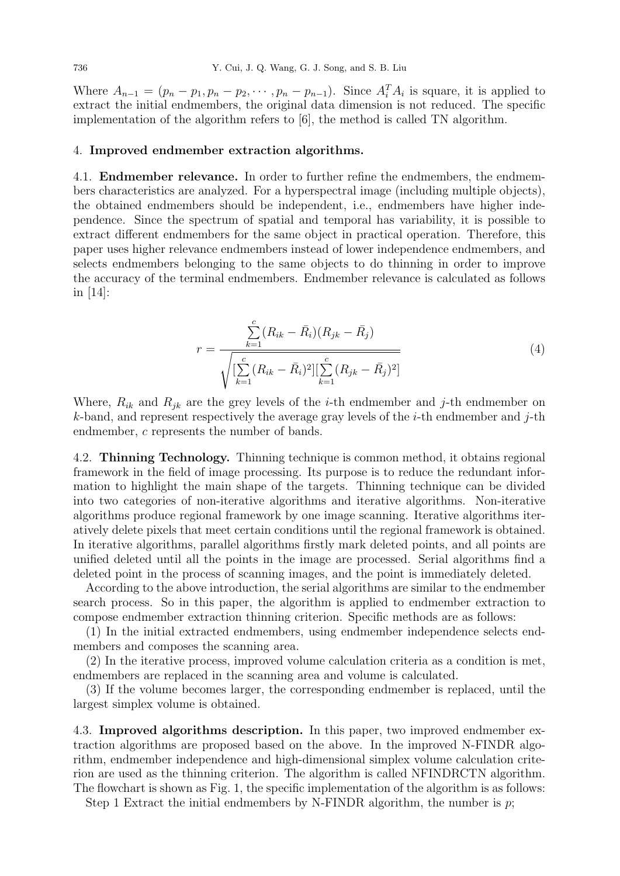Where  $A_{n-1} = (p_n - p_1, p_n - p_2, \dots, p_n - p_{n-1})$ . Since  $A_i^T A_i$  is square, it is applied to extract the initial endmembers, the original data dimension is not reduced. The specific implementation of the algorithm refers to [6], the method is called TN algorithm.

## 4. Improved endmember extraction algorithms.

4.1. Endmember relevance. In order to further refine the endmembers, the endmembers characteristics are analyzed. For a hyperspectral image (including multiple objects), the obtained endmembers should be independent, i.e., endmembers have higher independence. Since the spectrum of spatial and temporal has variability, it is possible to extract different endmembers for the same object in practical operation. Therefore, this paper uses higher relevance endmembers instead of lower independence endmembers, and selects endmembers belonging to the same objects to do thinning in order to improve the accuracy of the terminal endmembers. Endmember relevance is calculated as follows in [14]:

$$
r = \frac{\sum_{k=1}^{c} (R_{ik} - \bar{R}_i)(R_{jk} - \bar{R}_j)}{\sqrt{\sum_{k=1}^{c} (R_{ik} - \bar{R}_i)^2 \sum_{k=1}^{c} (R_{jk} - \bar{R}_j)^2}}
$$
(4)

Where,  $R_{ik}$  and  $R_{jk}$  are the grey levels of the *i*-th endmember and *j*-th endmember on k-band, and represent respectively the average gray levels of the *i*-th endmember and *j*-th endmember, c represents the number of bands.

4.2. Thinning Technology. Thinning technique is common method, it obtains regional framework in the field of image processing. Its purpose is to reduce the redundant information to highlight the main shape of the targets. Thinning technique can be divided into two categories of non-iterative algorithms and iterative algorithms. Non-iterative algorithms produce regional framework by one image scanning. Iterative algorithms iteratively delete pixels that meet certain conditions until the regional framework is obtained. In iterative algorithms, parallel algorithms firstly mark deleted points, and all points are unified deleted until all the points in the image are processed. Serial algorithms find a deleted point in the process of scanning images, and the point is immediately deleted.

According to the above introduction, the serial algorithms are similar to the endmember search process. So in this paper, the algorithm is applied to endmember extraction to compose endmember extraction thinning criterion. Specific methods are as follows:

(1) In the initial extracted endmembers, using endmember independence selects endmembers and composes the scanning area.

(2) In the iterative process, improved volume calculation criteria as a condition is met, endmembers are replaced in the scanning area and volume is calculated.

(3) If the volume becomes larger, the corresponding endmember is replaced, until the largest simplex volume is obtained.

4.3. Improved algorithms description. In this paper, two improved endmember extraction algorithms are proposed based on the above. In the improved N-FINDR algorithm, endmember independence and high-dimensional simplex volume calculation criterion are used as the thinning criterion. The algorithm is called NFINDRCTN algorithm. The flowchart is shown as Fig. 1, the specific implementation of the algorithm is as follows:

Step 1 Extract the initial endmembers by N-FINDR algorithm, the number is  $p$ ;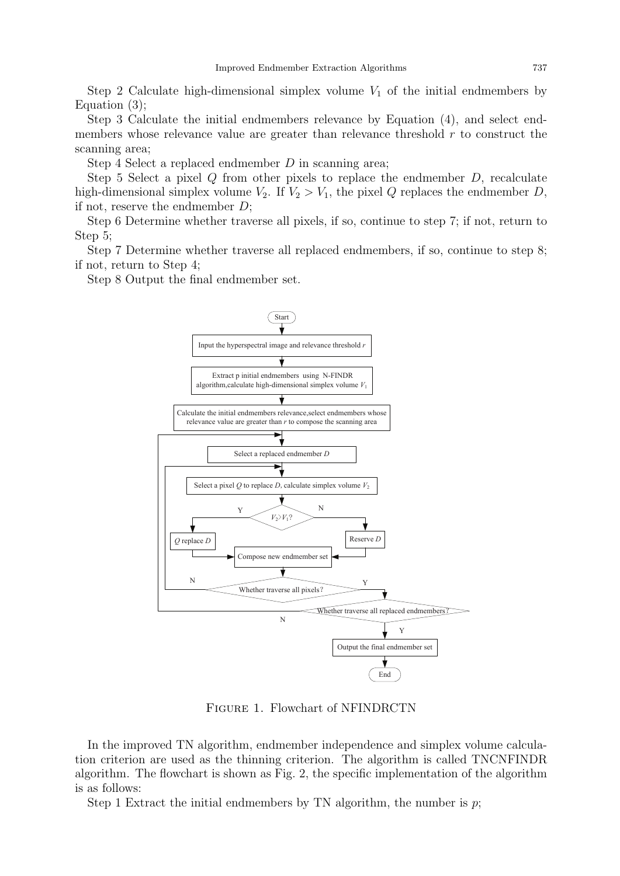Step 2 Calculate high-dimensional simplex volume  $V_1$  of the initial endmembers by Equation (3);

Step 3 Calculate the initial endmembers relevance by Equation (4), and select endmembers whose relevance value are greater than relevance threshold  $r$  to construct the scanning area;

Step 4 Select a replaced endmember D in scanning area;

Step 5 Select a pixel  $Q$  from other pixels to replace the endmember  $D$ , recalculate high-dimensional simplex volume  $V_2$ . If  $V_2 > V_1$ , the pixel Q replaces the endmember D, if not, reserve the endmember D;

Step 6 Determine whether traverse all pixels, if so, continue to step 7; if not, return to Step 5;

Step 7 Determine whether traverse all replaced endmembers, if so, continue to step 8; if not, return to Step 4;

Step 8 Output the final endmember set.



Figure 1. Flowchart of NFINDRCTN

In the improved TN algorithm, endmember independence and simplex volume calculation criterion are used as the thinning criterion. The algorithm is called TNCNFINDR algorithm. The flowchart is shown as Fig. 2, the specific implementation of the algorithm is as follows:

Step 1 Extract the initial endmembers by TN algorithm, the number is  $p$ ;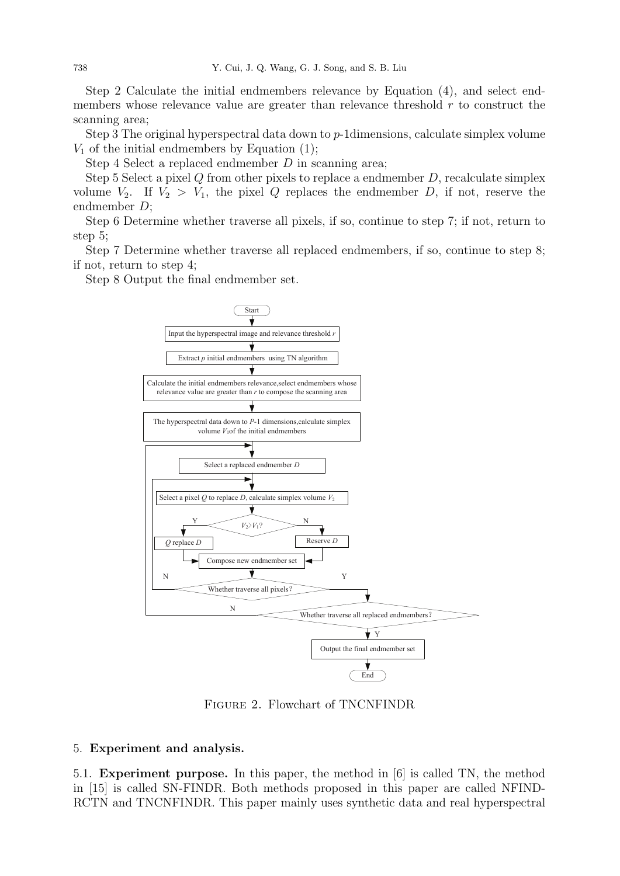Step 2 Calculate the initial endmembers relevance by Equation (4), and select endmembers whose relevance value are greater than relevance threshold  $r$  to construct the scanning area;

Step 3 The original hyperspectral data down to p-1dimensions, calculate simplex volume  $V_1$  of the initial endmembers by Equation (1);

Step 4 Select a replaced endmember  $D$  in scanning area;

Step 5 Select a pixel  $Q$  from other pixels to replace a endmember  $D$ , recalculate simplex volume  $V_2$ . If  $V_2 > V_1$ , the pixel Q replaces the endmember D, if not, reserve the endmember D;

Step 6 Determine whether traverse all pixels, if so, continue to step 7; if not, return to step 5;

Step 7 Determine whether traverse all replaced endmembers, if so, continue to step 8; if not, return to step 4;

Step 8 Output the final endmember set.



Figure 2. Flowchart of TNCNFINDR

## 5. Experiment and analysis.

5.1. Experiment purpose. In this paper, the method in [6] is called TN, the method in [15] is called SN-FINDR. Both methods proposed in this paper are called NFIND-RCTN and TNCNFINDR. This paper mainly uses synthetic data and real hyperspectral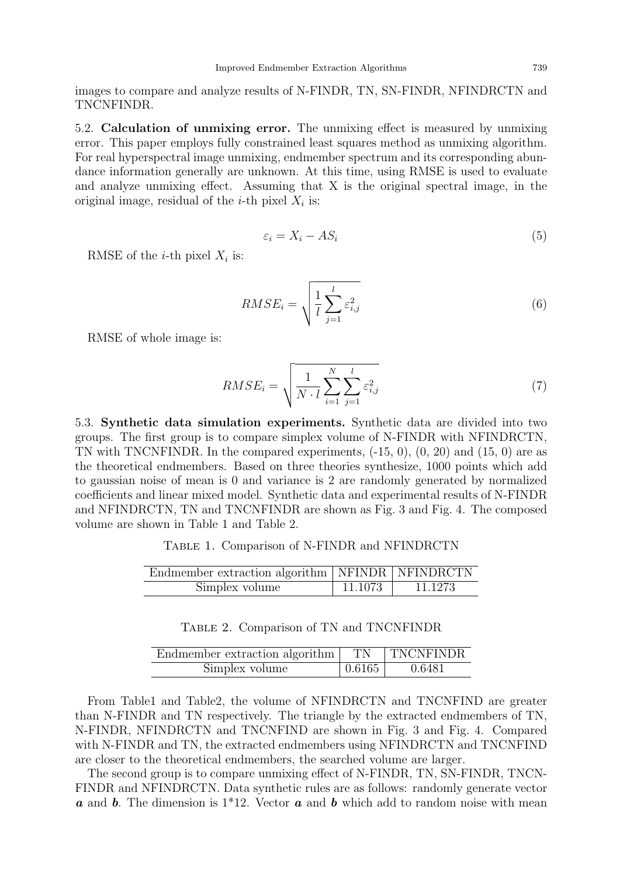images to compare and analyze results of N-FINDR, TN, SN-FINDR, NFINDRCTN and TNCNFINDR.

5.2. Calculation of unmixing error. The unmixing effect is measured by unmixing error. This paper employs fully constrained least squares method as unmixing algorithm. For real hyperspectral image unmixing, endmember spectrum and its corresponding abundance information generally are unknown. At this time, using RMSE is used to evaluate and analyze unmixing effect. Assuming that X is the original spectral image, in the original image, residual of the *i*-th pixel  $X_i$  is:

$$
\varepsilon_i = X_i - AS_i \tag{5}
$$

RMSE of the *i*-th pixel  $X_i$  is:

$$
RMSE_i = \sqrt{\frac{1}{l} \sum_{j=1}^{l} \varepsilon_{i,j}^2}
$$
 (6)

RMSE of whole image is:

$$
RMSE_i = \sqrt{\frac{1}{N \cdot l} \sum_{i=1}^{N} \sum_{j=1}^{l} \varepsilon_{i,j}^2}
$$
 (7)

5.3. Synthetic data simulation experiments. Synthetic data are divided into two groups. The first group is to compare simplex volume of N-FINDR with NFINDRCTN, TN with TNCNFINDR. In the compared experiments,  $(-15, 0)$ ,  $(0, 20)$  and  $(15, 0)$  are as the theoretical endmembers. Based on three theories synthesize, 1000 points which add to gaussian noise of mean is 0 and variance is 2 are randomly generated by normalized coefficients and linear mixed model. Synthetic data and experimental results of N-FINDR and NFINDRCTN, TN and TNCNFINDR are shown as Fig. 3 and Fig. 4. The composed volume are shown in Table 1 and Table 2.

Table 1. Comparison of N-FINDR and NFINDRCTN

| Endmember extraction algorithm   NFINDR   NFINDRCTN |            |         |
|-----------------------------------------------------|------------|---------|
| Simplex volume                                      | $+11.1073$ | 11.1273 |

| Endmember extraction algorithm <sup>1</sup> | TN     | TNCNFINDR |
|---------------------------------------------|--------|-----------|
| Simplex volume                              | 0.6165 | 0.6481    |

From Table1 and Table2, the volume of NFINDRCTN and TNCNFIND are greater than N-FINDR and TN respectively. The triangle by the extracted endmembers of TN, N-FINDR, NFINDRCTN and TNCNFIND are shown in Fig. 3 and Fig. 4. Compared with N-FINDR and TN, the extracted endmembers using NFINDRCTN and TNCNFIND are closer to the theoretical endmembers, the searched volume are larger.

The second group is to compare unmixing effect of N-FINDR, TN, SN-FINDR, TNCN-FINDR and NFINDRCTN. Data synthetic rules are as follows: randomly generate vector **a** and **b**. The dimension is  $1*12$ . Vector **a** and **b** which add to random noise with mean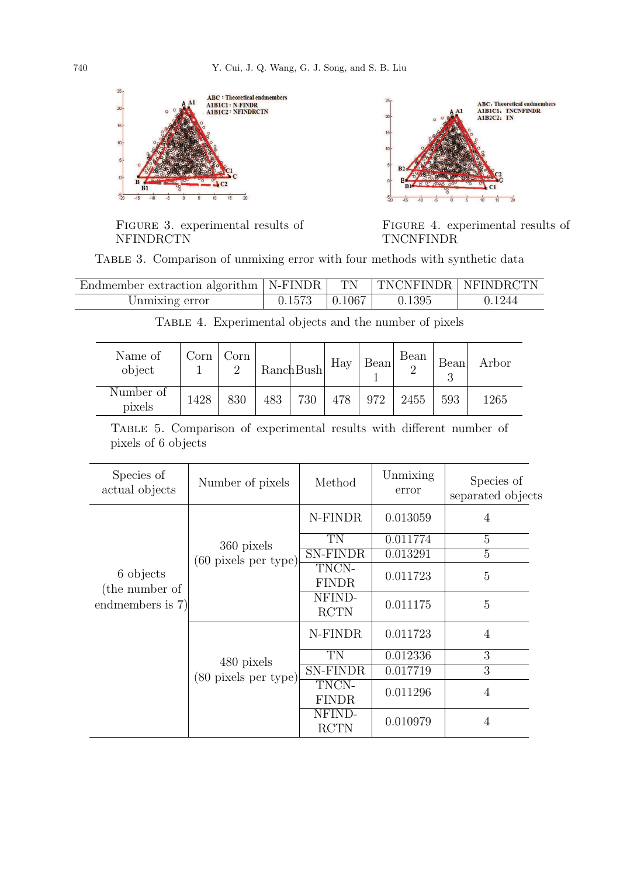

FIGURE 3. experimental results of NFINDRCTN

![](_page_6_Figure_3.jpeg)

FIGURE 4. experimental results of TNCNFINDR

Table 3. Comparison of unmixing error with four methods with synthetic data

| Endmember extraction algorithm   N-FINDR   TN   TNCNFINDR   NFINDRCTN |                     |        |        |
|-----------------------------------------------------------------------|---------------------|--------|--------|
| Unmixing error                                                        | $0.1573$   $0.1067$ | 0.1395 | 0.1244 |

| Name of<br>object   | Corn | Corn |     | RanchBush | Hay | Bean | Bean | <b>Bean</b> | Arbor |
|---------------------|------|------|-----|-----------|-----|------|------|-------------|-------|
| Number of<br>pixels | 1428 | 830  | 483 | 730       | 478 | 972  | 2455 | 593         | 1265  |

Table 4. Experimental objects and the number of pixels

|                     |  | TABLE 5. Comparison of experimental results with different number of |  |  |  |
|---------------------|--|----------------------------------------------------------------------|--|--|--|
| pixels of 6 objects |  |                                                                      |  |  |  |

| Species of<br>actual objects                    | Number of pixels                             | Method                | Unmixing<br>error | Species of<br>separated objects |
|-------------------------------------------------|----------------------------------------------|-----------------------|-------------------|---------------------------------|
|                                                 |                                              | N-FINDR               | 0.013059          | 4                               |
|                                                 | 360 pixels                                   | TN                    | 0.011774          | $\overline{5}$                  |
|                                                 | $(60 \text{ pixels per type})$               | <b>SN-FINDR</b>       | 0.013291          | 5                               |
| 6 objects<br>(the number of<br>endmembers is 7) |                                              | TNCN-<br><b>FINDR</b> | 0.011723          | 5                               |
|                                                 |                                              | NFIND-<br><b>RCTN</b> | 0.011175          | 5                               |
|                                                 | 480 pixels<br>$(80 \text{ pixels per type})$ | N-FINDR               | 0.011723          | 4                               |
|                                                 |                                              | TN                    | 0.012336          | 3                               |
|                                                 |                                              | <b>SN-FINDR</b>       | 0.017719          | 3                               |
|                                                 |                                              | TNCN-<br><b>FINDR</b> | 0.011296          | 4                               |
|                                                 |                                              | NFIND-<br><b>RCTN</b> | 0.010979          | $\overline{4}$                  |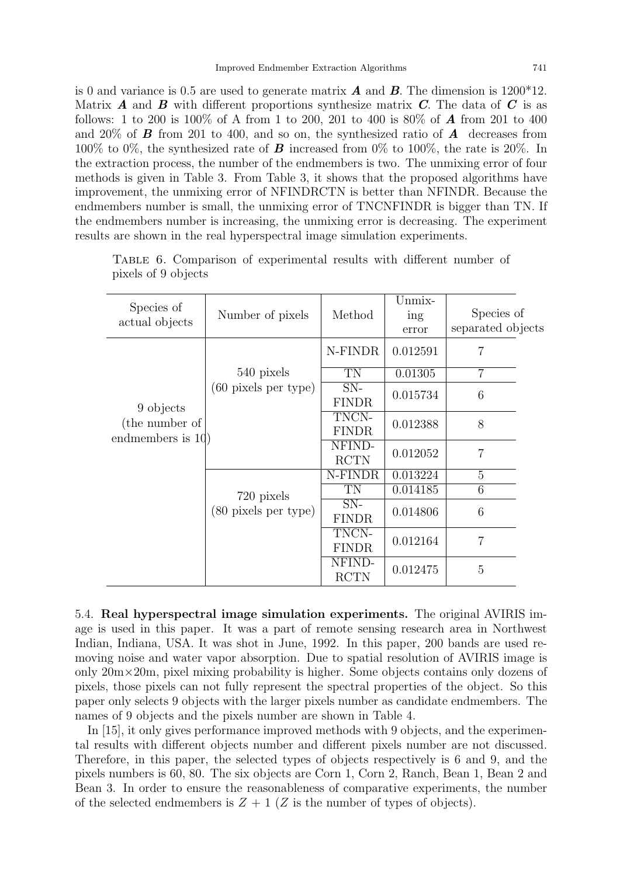is 0 and variance is 0.5 are used to generate matrix  $\vec{A}$  and  $\vec{B}$ . The dimension is 1200<sup>\*</sup>12. Matrix  $\bm{A}$  and  $\bm{B}$  with different proportions synthesize matrix  $\bm{C}$ . The data of  $\bm{C}$  is as follows: 1 to 200 is 100% of A from 1 to 200, 201 to 400 is 80% of A from 201 to 400 and 20% of **B** from 201 to 400, and so on, the synthesized ratio of **A** decreases from 100% to 0%, the synthesized rate of **B** increased from 0% to 100%, the rate is 20%. In the extraction process, the number of the endmembers is two. The unmixing error of four methods is given in Table 3. From Table 3, it shows that the proposed algorithms have improvement, the unmixing error of NFINDRCTN is better than NFINDR. Because the endmembers number is small, the unmixing error of TNCNFINDR is bigger than TN. If the endmembers number is increasing, the unmixing error is decreasing. The experiment results are shown in the real hyperspectral image simulation experiments.

| Species of<br>Method<br>Number of pixels<br>actual objects           | Unmix-<br>ing<br>error | Species of<br>separated objects |
|----------------------------------------------------------------------|------------------------|---------------------------------|
| N-FINDR                                                              | 0.012591               | 7                               |
| 540 pixels<br>TN                                                     | 0.01305                | $\overline{7}$                  |
| $(60 \text{ pixels per type})$<br>$SN-$<br><b>FINDR</b><br>9 objects | 0.015734               | 6                               |
| TNCN-<br>(the number of<br><b>FINDR</b><br>endmembers is $10$ )      | 0.012388               | 8                               |
| NFIND-<br><b>RCTN</b>                                                | 0.012052               | 7                               |
| N-FINDR                                                              | 0.013224               | 5                               |
| TN<br>720 pixels                                                     | 0.014185               | 6                               |
| $SN-$<br>(80 pixels per type)<br><b>FINDR</b>                        | 0.014806               | 6                               |
| TNCN-<br><b>FINDR</b>                                                | 0.012164               | 7                               |
| NFIND-<br><b>RCTN</b>                                                | 0.012475               | $\overline{5}$                  |

Table 6. Comparison of experimental results with different number of pixels of 9 objects

5.4. Real hyperspectral image simulation experiments. The original AVIRIS image is used in this paper. It was a part of remote sensing research area in Northwest Indian, Indiana, USA. It was shot in June, 1992. In this paper, 200 bands are used removing noise and water vapor absorption. Due to spatial resolution of AVIRIS image is only  $20m \times 20m$ , pixel mixing probability is higher. Some objects contains only dozens of pixels, those pixels can not fully represent the spectral properties of the object. So this paper only selects 9 objects with the larger pixels number as candidate endmembers. The names of 9 objects and the pixels number are shown in Table 4.

In [15], it only gives performance improved methods with 9 objects, and the experimental results with different objects number and different pixels number are not discussed. Therefore, in this paper, the selected types of objects respectively is 6 and 9, and the pixels numbers is 60, 80. The six objects are Corn 1, Corn 2, Ranch, Bean 1, Bean 2 and Bean 3. In order to ensure the reasonableness of comparative experiments, the number of the selected endmembers is  $Z + 1$  (Z is the number of types of objects).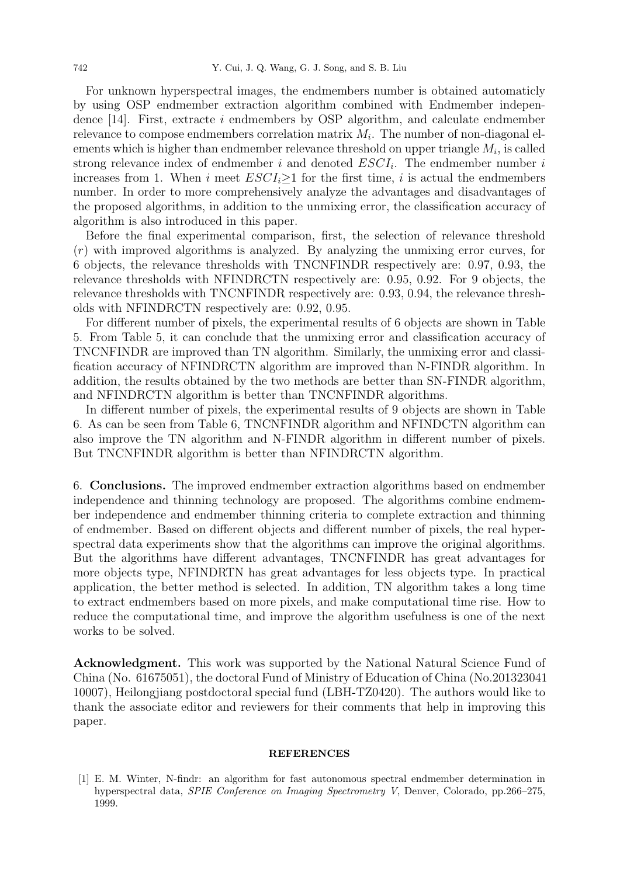For unknown hyperspectral images, the endmembers number is obtained automaticly by using OSP endmember extraction algorithm combined with Endmember independence [14]. First, extracte i endmembers by OSP algorithm, and calculate endmember relevance to compose endmembers correlation matrix  $M_i$ . The number of non-diagonal elements which is higher than endmember relevance threshold on upper triangle  $M_i$ , is called strong relevance index of endmember i and denoted  $ESCI_i$ . The endmember number i increases from 1. When i meet  $ESCI_i>1$  for the first time, i is actual the endmembers number. In order to more comprehensively analyze the advantages and disadvantages of the proposed algorithms, in addition to the unmixing error, the classification accuracy of algorithm is also introduced in this paper.

Before the final experimental comparison, first, the selection of relevance threshold  $(r)$  with improved algorithms is analyzed. By analyzing the unmixing error curves, for 6 objects, the relevance thresholds with TNCNFINDR respectively are: 0.97, 0.93, the relevance thresholds with NFINDRCTN respectively are: 0.95, 0.92. For 9 objects, the relevance thresholds with TNCNFINDR respectively are: 0.93, 0.94, the relevance thresholds with NFINDRCTN respectively are: 0.92, 0.95.

For different number of pixels, the experimental results of 6 objects are shown in Table 5. From Table 5, it can conclude that the unmixing error and classification accuracy of TNCNFINDR are improved than TN algorithm. Similarly, the unmixing error and classification accuracy of NFINDRCTN algorithm are improved than N-FINDR algorithm. In addition, the results obtained by the two methods are better than SN-FINDR algorithm, and NFINDRCTN algorithm is better than TNCNFINDR algorithms.

In different number of pixels, the experimental results of 9 objects are shown in Table 6. As can be seen from Table 6, TNCNFINDR algorithm and NFINDCTN algorithm can also improve the TN algorithm and N-FINDR algorithm in different number of pixels. But TNCNFINDR algorithm is better than NFINDRCTN algorithm.

6. Conclusions. The improved endmember extraction algorithms based on endmember independence and thinning technology are proposed. The algorithms combine endmember independence and endmember thinning criteria to complete extraction and thinning of endmember. Based on different objects and different number of pixels, the real hyperspectral data experiments show that the algorithms can improve the original algorithms. But the algorithms have different advantages, TNCNFINDR has great advantages for more objects type, NFINDRTN has great advantages for less objects type. In practical application, the better method is selected. In addition, TN algorithm takes a long time to extract endmembers based on more pixels, and make computational time rise. How to reduce the computational time, and improve the algorithm usefulness is one of the next works to be solved.

Acknowledgment. This work was supported by the National Natural Science Fund of China (No. 61675051), the doctoral Fund of Ministry of Education of China (No.201323041 10007), Heilongjiang postdoctoral special fund (LBH-TZ0420). The authors would like to thank the associate editor and reviewers for their comments that help in improving this paper.

## **REFERENCES**

[1] E. M. Winter, N-findr: an algorithm for fast autonomous spectral endmember determination in hyperspectral data, SPIE Conference on Imaging Spectrometry V, Denver, Colorado, pp.266–275, 1999.